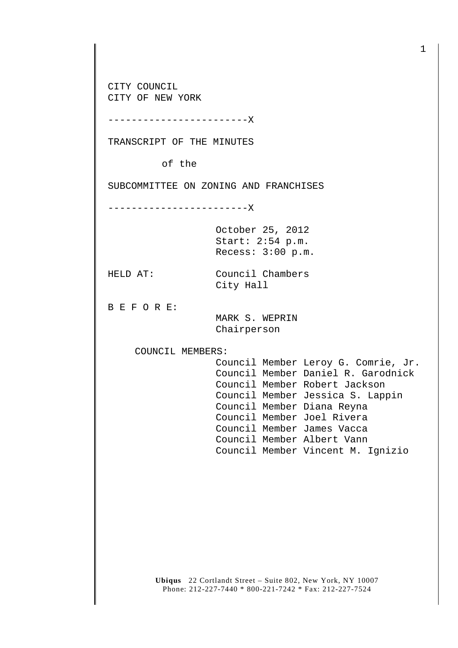CITY COUNCIL CITY OF NEW YORK

------------------------X

TRANSCRIPT OF THE MINUTES

of the

SUBCOMMITTEE ON ZONING AND FRANCHISES

------------------------X

October 25, 2012 Start: 2:54 p.m. Recess: 3:00 p.m.

HELD AT: Council Chambers City Hall

B E F O R E:

 MARK S. WEPRIN Chairperson

COUNCIL MEMBERS:

 Council Member Leroy G. Comrie, Jr. Council Member Daniel R. Garodnick Council Member Robert Jackson Council Member Jessica S. Lappin Council Member Diana Reyna Council Member Joel Rivera Council Member James Vacca Council Member Albert Vann Council Member Vincent M. Ignizio

**Ubiqus** 22 Cortlandt Street – Suite 802, New York, NY 10007 Phone: 212-227-7440 \* 800-221-7242 \* Fax: 212-227-7524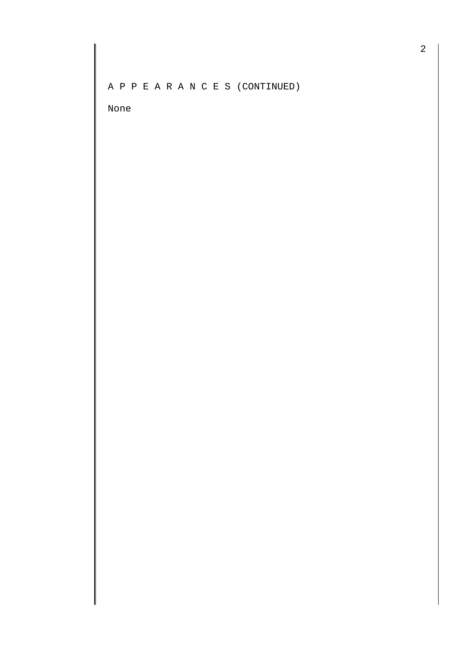A P P E A R A N C E S (CONTINUED)

None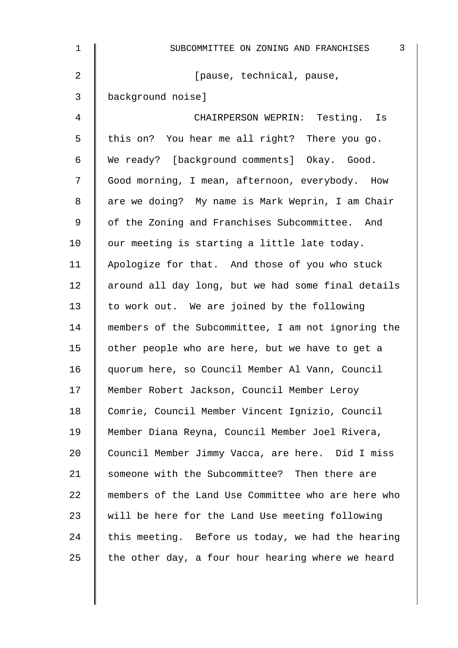| $\mathbf 1$    | $\mathfrak{Z}$<br>SUBCOMMITTEE ON ZONING AND FRANCHISES |
|----------------|---------------------------------------------------------|
| $\overline{2}$ | [pause, technical, pause,                               |
| 3              | background noise]                                       |
| 4              | CHAIRPERSON WEPRIN: Testing. Is                         |
| 5              | this on? You hear me all right? There you go.           |
| 6              | We ready? [background comments] Okay. Good.             |
| 7              | Good morning, I mean, afternoon, everybody. How         |
| 8              | are we doing? My name is Mark Weprin, I am Chair        |
| 9              | of the Zoning and Franchises Subcommittee. And          |
| 10             | our meeting is starting a little late today.            |
| 11             | Apologize for that. And those of you who stuck          |
| 12             | around all day long, but we had some final details      |
| 13             | to work out. We are joined by the following             |
| 14             | members of the Subcommittee, I am not ignoring the      |
| 15             | other people who are here, but we have to get a         |
| 16             | quorum here, so Council Member Al Vann, Council         |
| 17             | Member Robert Jackson, Council Member Leroy             |
| 18             | Comrie, Council Member Vincent Ignizio, Council         |
| 19             | Member Diana Reyna, Council Member Joel Rivera,         |
| 20             | Council Member Jimmy Vacca, are here. Did I miss        |
| 21             | someone with the Subcommittee? Then there are           |
| 22             | members of the Land Use Committee who are here who      |
| 23             | will be here for the Land Use meeting following         |
| 24             | this meeting. Before us today, we had the hearing       |
| 25             | the other day, a four hour hearing where we heard       |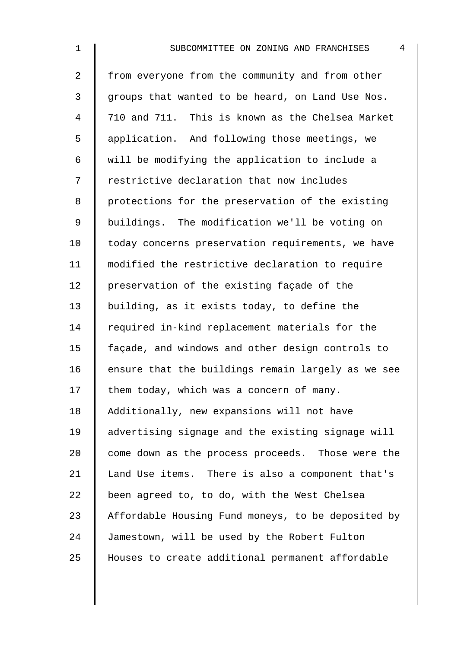2 from everyone from the community and from other 3 || groups that wanted to be heard, on Land Use Nos. 4 710 and 711. This is known as the Chelsea Market 5 | application. And following those meetings, we 6  $\parallel$  will be modifying the application to include a 7 | restrictive declaration that now includes 8 | protections for the preservation of the existing 9 | buildings. The modification we'll be voting on 10 | today concerns preservation requirements, we have 11 modified the restrictive declaration to require 12 | preservation of the existing façade of the 13 building, as it exists today, to define the 14 Tequired in-kind replacement materials for the 15 façade, and windows and other design controls to 16  $\parallel$  ensure that the buildings remain largely as we see  $17$  them today, which was a concern of many. 18 Additionally, new expansions will not have 19 advertising signage and the existing signage will 20 come down as the process proceeds. Those were the 21 | Land Use items. There is also a component that's 22  $\parallel$  been agreed to, to do, with the West Chelsea 23 Affordable Housing Fund moneys, to be deposited by 24 Jamestown, will be used by the Robert Fulton 25 Houses to create additional permanent affordable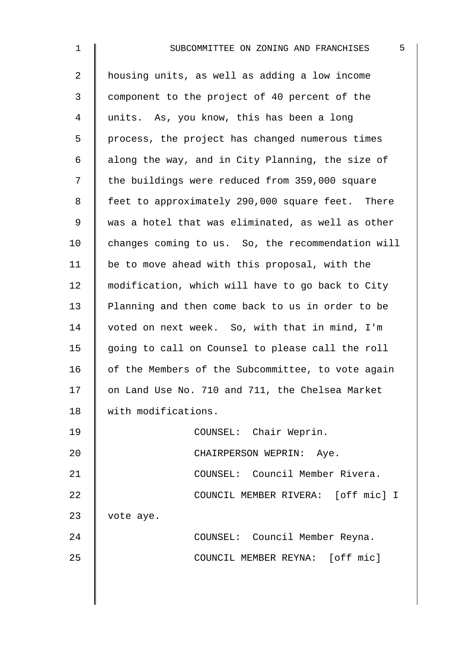2 | housing units, as well as adding a low income 3 component to the project of 40 percent of the 4 | units. As, you know, this has been a long  $5 \parallel$  process, the project has changed numerous times 6  $\parallel$  along the way, and in City Planning, the size of 7 | the buildings were reduced from 359,000 square 8 | feet to approximately 290,000 square feet. There 9 | was a hotel that was eliminated, as well as other 10 changes coming to us. So, the recommendation will 11  $\parallel$  be to move ahead with this proposal, with the 12 | modification, which will have to go back to City 13 Planning and then come back to us in order to be 14 voted on next week. So, with that in mind, I'm 15 going to call on Counsel to please call the roll  $16$  of the Members of the Subcommittee, to vote again 17 | on Land Use No. 710 and 711, the Chelsea Market 18 with modifications. 19 || COUNSEL: Chair Weprin. 20 || CHAIRPERSON WEPRIN: Aye. 21 | COUNSEL: Council Member Rivera. 22 **COUNCIL MEMBER RIVERA:** [off mic] I 23 vote aye. 24 COUNSEL: Council Member Reyna. 25 **COUNCIL MEMBER REYNA:** [off mic]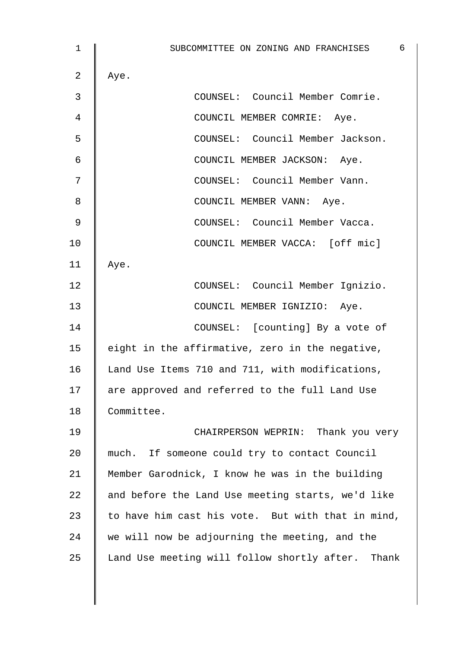1 | SUBCOMMITTEE ON ZONING AND FRANCHISES 6 2 | Aye. 3 COUNSEL: Council Member Comrie. 4 COUNCIL MEMBER COMRIE: Aye. 5 COUNSEL: Council Member Jackson. 6 | COUNCIL MEMBER JACKSON: Aye. 7 || COUNSEL: Council Member Vann. 8 || COUNCIL MEMBER VANN: Aye. 9 | COUNSEL: Council Member Vacca. 10 | COUNCIL MEMBER VACCA: [off mic] 11 | Aye. 12 | COUNSEL: Council Member Ignizio. 13 | COUNCIL MEMBER IGNIZIO: Aye. 14 | COUNSEL: [counting] By a vote of 15  $\parallel$  eight in the affirmative, zero in the negative, 16 Land Use Items 710 and 711, with modifications, 17 | are approved and referred to the full Land Use 18 Committee. 19 CHAIRPERSON WEPRIN: Thank you very 20 much. If someone could try to contact Council 21 Member Garodnick, I know he was in the building 22  $\parallel$  and before the Land Use meeting starts, we'd like 23  $\parallel$  to have him cast his vote. But with that in mind,  $24$  we will now be adjourning the meeting, and the 25 | Land Use meeting will follow shortly after. Thank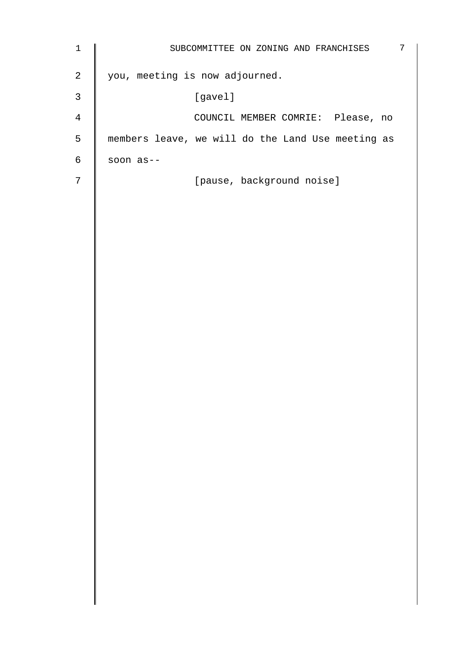| $1\,$          | $\overline{7}$<br>SUBCOMMITTEE ON ZONING AND FRANCHISES |
|----------------|---------------------------------------------------------|
| $\overline{a}$ | you, meeting is now adjourned.                          |
| $\mathsf{3}$   | [gavel]                                                 |
| 4              | COUNCIL MEMBER COMRIE: Please, no                       |
| 5              | members leave, we will do the Land Use meeting as       |
| $\sqrt{6}$     | soon as--                                               |
| 7              | [pause, background noise]                               |
|                |                                                         |
|                |                                                         |
|                |                                                         |
|                |                                                         |
|                |                                                         |
|                |                                                         |
|                |                                                         |
|                |                                                         |
|                |                                                         |
|                |                                                         |
|                |                                                         |
|                |                                                         |
|                |                                                         |
|                |                                                         |
|                |                                                         |
|                |                                                         |
|                |                                                         |
|                |                                                         |
|                |                                                         |
|                |                                                         |